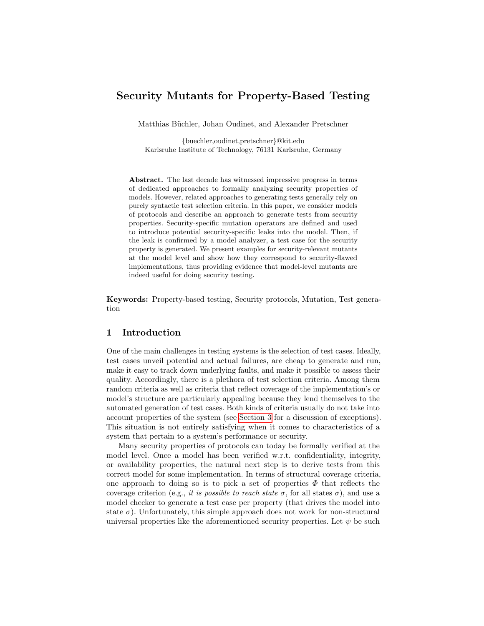# Security Mutants for Property-Based Testing

Matthias Büchler, Johan Oudinet, and Alexander Pretschner

{buechler,oudinet,pretschner}@kit.edu Karlsruhe Institute of Technology, 76131 Karlsruhe, Germany

Abstract. The last decade has witnessed impressive progress in terms of dedicated approaches to formally analyzing security properties of models. However, related approaches to generating tests generally rely on purely syntactic test selection criteria. In this paper, we consider models of protocols and describe an approach to generate tests from security properties. Security-specific mutation operators are defined and used to introduce potential security-specific leaks into the model. Then, if the leak is confirmed by a model analyzer, a test case for the security property is generated. We present examples for security-relevant mutants at the model level and show how they correspond to security-flawed implementations, thus providing evidence that model-level mutants are indeed useful for doing security testing.

Keywords: Property-based testing, Security protocols, Mutation, Test generation

# 1 Introduction

One of the main challenges in testing systems is the selection of test cases. Ideally, test cases unveil potential and actual failures, are cheap to generate and run, make it easy to track down underlying faults, and make it possible to assess their quality. Accordingly, there is a plethora of test selection criteria. Among them random criteria as well as criteria that reflect coverage of the implementation's or model's structure are particularly appealing because they lend themselves to the automated generation of test cases. Both kinds of criteria usually do not take into account properties of the system (see [Section 3](#page-4-0) for a discussion of exceptions). This situation is not entirely satisfying when it comes to characteristics of a system that pertain to a system's performance or security.

Many security properties of protocols can today be formally verified at the model level. Once a model has been verified w.r.t. confidentiality, integrity, or availability properties, the natural next step is to derive tests from this correct model for some implementation. In terms of structural coverage criteria, one approach to doing so is to pick a set of properties  $\Phi$  that reflects the coverage criterion (e.g., it is possible to reach state  $\sigma$ , for all states  $\sigma$ ), and use a model checker to generate a test case per property (that drives the model into state  $\sigma$ ). Unfortunately, this simple approach does not work for non-structural universal properties like the aforementioned security properties. Let  $\psi$  be such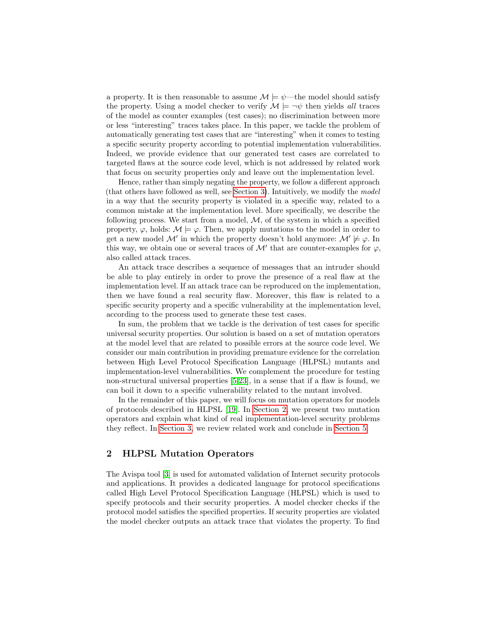a property. It is then reasonable to assume  $\mathcal{M} \models \psi$ —the model should satisfy the property. Using a model checker to verify  $\mathcal{M} \models \neg \psi$  then yields all traces of the model as counter examples (test cases); no discrimination between more or less "interesting" traces takes place. In this paper, we tackle the problem of automatically generating test cases that are "interesting" when it comes to testing a specific security property according to potential implementation vulnerabilities. Indeed, we provide evidence that our generated test cases are correlated to targeted flaws at the source code level, which is not addressed by related work that focus on security properties only and leave out the implementation level.

Hence, rather than simply negating the property, we follow a different approach (that others have followed as well, see [Section 3\)](#page-4-0). Intuitively, we modify the model in a way that the security property is violated in a specific way, related to a common mistake at the implementation level. More specifically, we describe the following process. We start from a model,  $M$ , of the system in which a specified property,  $\varphi$ , holds:  $\mathcal{M} \models \varphi$ . Then, we apply mutations to the model in order to get a new model  $\mathcal{M}'$  in which the property doesn't hold anymore:  $\mathcal{M}' \not\models \varphi$ . In this way, we obtain one or several traces of  $\mathcal{M}'$  that are counter-examples for  $\varphi$ , also called attack traces.

An attack trace describes a sequence of messages that an intruder should be able to play entirely in order to prove the presence of a real flaw at the implementation level. If an attack trace can be reproduced on the implementation, then we have found a real security flaw. Moreover, this flaw is related to a specific security property and a specific vulnerability at the implementation level, according to the process used to generate these test cases.

In sum, the problem that we tackle is the derivation of test cases for specific universal security properties. Our solution is based on a set of mutation operators at the model level that are related to possible errors at the source code level. We consider our main contribution in providing premature evidence for the correlation between High Level Protocol Specification Language (HLPSL) mutants and implementation-level vulnerabilities. We complement the procedure for testing non-structural universal properties [\[5](#page-6-0)[,23\]](#page-7-0), in a sense that if a flaw is found, we can boil it down to a specific vulnerability related to the mutant involved.

In the remainder of this paper, we will focus on mutation operators for models of protocols described in HLPSL [\[19\]](#page-7-1). In [Section 2,](#page-1-0) we present two mutation operators and explain what kind of real implementation-level security problems they reflect. In [Section 3,](#page-4-0) we review related work and conclude in [Section 5.](#page-5-0)

# <span id="page-1-0"></span>2 HLPSL Mutation Operators

The Avispa tool [\[3\]](#page-6-1) is used for automated validation of Internet security protocols and applications. It provides a dedicated language for protocol specifications called High Level Protocol Specification Language (HLPSL) which is used to specify protocols and their security properties. A model checker checks if the protocol model satisfies the specified properties. If security properties are violated the model checker outputs an attack trace that violates the property. To find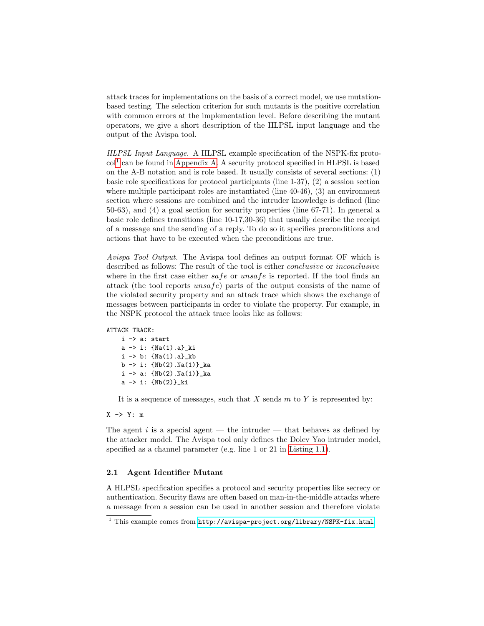attack traces for implementations on the basis of a correct model, we use mutationbased testing. The selection criterion for such mutants is the positive correlation with common errors at the implementation level. Before describing the mutant operators, we give a short description of the HLPSL input language and the output of the Avispa tool.

HLPSL Input Language. A HLPSL example specification of the NSPK-fix proto- $col<sup>1</sup>$  $col<sup>1</sup>$  $col<sup>1</sup>$  can be found in [Appendix A.](#page-7-2) A security protocol specified in HLPSL is based on the A-B notation and is role based. It usually consists of several sections: (1) basic role specifications for protocol participants (line 1-37), (2) a session section where multiple participant roles are instantiated (line 40-46), (3) an environment section where sessions are combined and the intruder knowledge is defined (line 50-63), and (4) a goal section for security properties (line 67-71). In general a basic role defines transitions (line 10-17,30-36) that usually describe the receipt of a message and the sending of a reply. To do so it specifies preconditions and actions that have to be executed when the preconditions are true.

Avispa Tool Output. The Avispa tool defines an output format OF which is described as follows: The result of the tool is either conclusive or inconclusive where in the first case either  $safe$  or  $unsafe$  is reported. If the tool finds an attack (the tool reports  $unsafe)$  parts of the output consists of the name of the violated security property and an attack trace which shows the exchange of messages between participants in order to violate the property. For example, in the NSPK protocol the attack trace looks like as follows:

#### ATTACK TRACE:

i -> a: start a -> i: {Na(1).a}\_ki i -> b: {Na(1).a}\_kb  $b \rightarrow i: \{Nb(2).Na(1)\} _\_ka$  $i \rightarrow a: \{Nb(2).Na(1)\} _{k}$ a  $\rightarrow$  i:  $\{Nb(2)\}$ <sub>-</sub>ki

It is a sequence of messages, such that  $X$  sends  $m$  to  $Y$  is represented by:

X -> Y: m

The agent i is a special agent — the intruder — that behaves as defined by the attacker model. The Avispa tool only defines the Dolev Yao intruder model, specified as a channel parameter (e.g. line 1 or 21 in [Listing 1.1\)](#page-7-3).

#### 2.1 Agent Identifier Mutant

A HLPSL specification specifies a protocol and security properties like secrecy or authentication. Security flaws are often based on man-in-the-middle attacks where a message from a session can be used in another session and therefore violate

<span id="page-2-0"></span><sup>&</sup>lt;sup>1</sup> This example comes from <http://avispa-project.org/library/NSPK-fix.html>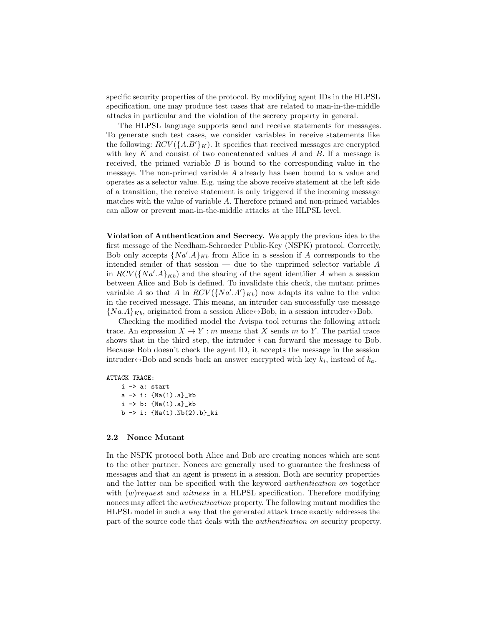specific security properties of the protocol. By modifying agent IDs in the HLPSL specification, one may produce test cases that are related to man-in-the-middle attacks in particular and the violation of the secrecy property in general.

The HLPSL language supports send and receive statements for messages. To generate such test cases, we consider variables in receive statements like the following:  $RCV({A.B'}_K)$ . It specifies that received messages are encrypted with key K and consist of two concatenated values A and B. If a message is received, the primed variable  $B$  is bound to the corresponding value in the message. The non-primed variable A already has been bound to a value and operates as a selector value. E.g. using the above receive statement at the left side of a transition, the receive statement is only triggered if the incoming message matches with the value of variable A. Therefore primed and non-primed variables can allow or prevent man-in-the-middle attacks at the HLPSL level.

Violation of Authentication and Secrecy. We apply the previous idea to the first message of the Needham-Schroeder Public-Key (NSPK) protocol. Correctly, Bob only accepts  $\{Na'A\}_{Kb}$  from Alice in a session if A corresponds to the intended sender of that session — due to the unprimed selector variable  $A$ in  $RCV(\lbrace Na', A \rbrace_{Kb})$  and the sharing of the agent identifier A when a session between Alice and Bob is defined. To invalidate this check, the mutant primes variable A so that A in  $RCV(\lbrace Na'A' \rbrace_{Kb})$  now adapts its value to the value in the received message. This means, an intruder can successfully use message  ${Na.A}_{Kb}$ , originated from a session Alice $\leftrightarrow$ Bob, in a session intruder $\leftrightarrow$ Bob.

Checking the modified model the Avispa tool returns the following attack trace. An expression  $X \to Y : m$  means that X sends m to Y. The partial trace shows that in the third step, the intruder  $i$  can forward the message to Bob. Because Bob doesn't check the agent ID, it accepts the message in the session intruder $\leftrightarrow$ Bob and sends back an answer encrypted with key  $k_i$ , instead of  $k_a$ .

```
ATTACK TRACE:
   i -> a: start
    a -> i: {Na(1).a}_kb
    i -> b: {Na(1).a}_kb
    b -> i: {Na(1).Nb(2).b}_ki
```
#### 2.2 Nonce Mutant

In the NSPK protocol both Alice and Bob are creating nonces which are sent to the other partner. Nonces are generally used to guarantee the freshness of messages and that an agent is present in a session. Both are security properties and the latter can be specified with the keyword *authentication on* together with  $(w)$ request and witness in a HLPSL specification. Therefore modifying nonces may affect the *authentication* property. The following mutant modifies the HLPSL model in such a way that the generated attack trace exactly addresses the part of the source code that deals with the *authentication on* security property.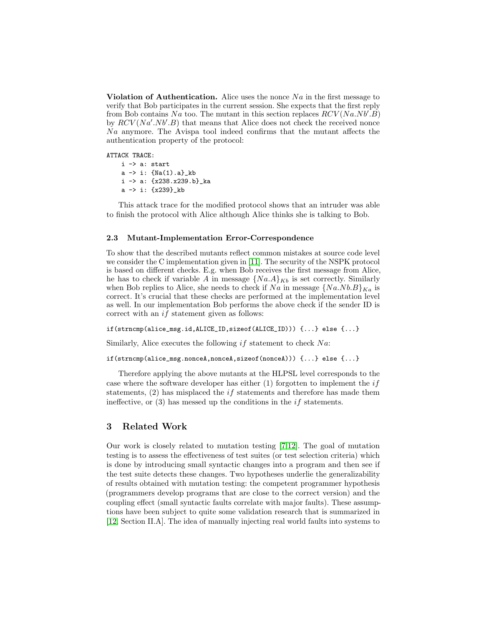Violation of Authentication. Alice uses the nonce  $Na$  in the first message to verify that Bob participates in the current session. She expects that the first reply from Bob contains Na too. The mutant in this section replaces  $RCV(Na.Nb'.B)$ by  $RCV(Na'.Nb'.B)$  that means that Alice does not check the received nonce  $Na$  anymore. The Avispa tool indeed confirms that the mutant affects the authentication property of the protocol:

ATTACK TRACE:

i -> a: start  $a \rightarrow i: \{Na(1).a\} _{k}$ i -> a: {x238.x239.b}\_ka a -> i: {x239}\_kb

This attack trace for the modified protocol shows that an intruder was able to finish the protocol with Alice although Alice thinks she is talking to Bob.

#### 2.3 Mutant-Implementation Error-Correspondence

To show that the described mutants reflect common mistakes at source code level we consider the C implementation given in [\[11\]](#page-6-2). The security of the NSPK protocol is based on different checks. E.g. when Bob receives the first message from Alice, he has to check if variable A in message  $\{Na.A\}_{Kb}$  is set correctly. Similarly when Bob replies to Alice, she needs to check if Na in message  $\{Na.Nb.B\}_{Ka}$  is correct. It's crucial that these checks are performed at the implementation level as well. In our implementation Bob performs the above check if the sender ID is correct with an if statement given as follows:

if(strncmp(alice\_msg.id,ALICE\_ID,sizeof(ALICE\_ID))) {...} else {...}

Similarly, Alice executes the following if statement to check  $Na$ :

if(strncmp(alice\_msg.nonceA,nonceA,sizeof(nonceA))) {...} else {...}

Therefore applying the above mutants at the HLPSL level corresponds to the case where the software developer has either  $(1)$  forgotten to implement the if statements,  $(2)$  has misplaced the *if* statements and therefore has made them ineffective, or  $(3)$  has messed up the conditions in the *if* statements.

### <span id="page-4-0"></span>3 Related Work

Our work is closely related to mutation testing [\[7](#page-6-3)[,12\]](#page-6-4). The goal of mutation testing is to assess the effectiveness of test suites (or test selection criteria) which is done by introducing small syntactic changes into a program and then see if the test suite detects these changes. Two hypotheses underlie the generalizability of results obtained with mutation testing: the competent programmer hypothesis (programmers develop programs that are close to the correct version) and the coupling effect (small syntactic faults correlate with major faults). These assumptions have been subject to quite some validation research that is summarized in [\[12,](#page-6-4) Section II.A]. The idea of manually injecting real world faults into systems to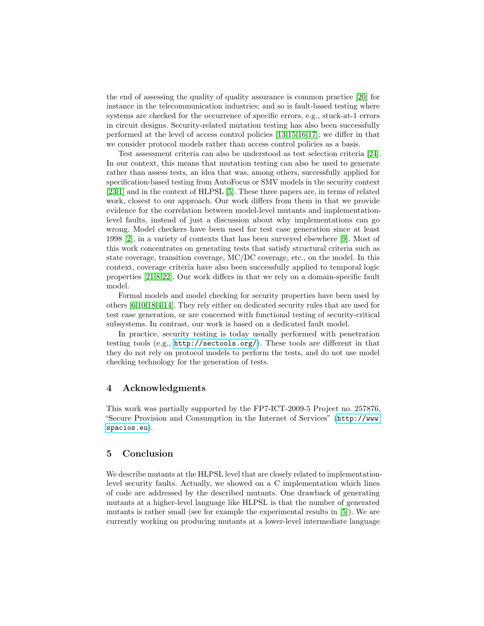the end of assessing the quality of quality assurance is common practice [\[20\]](#page-7-4) for instance in the telecommunication industries; and so is fault-based testing where systems are checked for the occurrence of specific errors, e.g., stuck-at-1 errors in circuit designs. Security-related mutation testing has also been successfully performed at the level of access control policies [\[13](#page-6-5)[,15](#page-6-6)[,16,](#page-6-7)[17\]](#page-7-5); we differ in that we consider protocol models rather than access control policies as a basis.

Test assessment criteria can also be understood as test selection criteria [\[24\]](#page-7-6). In our context, this means that mutation testing can also be used to generate rather than assess tests, an idea that was, among others, successfully applied for specification-based testing from AutoFocus or SMV models in the security context [\[23](#page-7-0)[,1\]](#page-6-8) and in the context of HLPSL [\[5\]](#page-6-0). These three papers are, in terms of related work, closest to our approach. Our work differs from them in that we provide evidence for the correlation between model-level mutants and implementationlevel faults, instead of just a discussion about why implementations can go wrong. Model checkers have been used for test case generation since at least 1998 [\[2\]](#page-6-9), in a variety of contexts that has been surveyed elsewhere [\[9\]](#page-6-10). Most of this work concentrates on generating tests that satisfy structural criteria such as state coverage, transition coverage, MC/DC coverage, etc., on the model. In this context, coverage criteria have also been successfully applied to temporal logic properties [\[21,](#page-7-7)[8,](#page-6-11)[22\]](#page-7-8). Our work differs in that we rely on a domain-specific fault model.

Formal models and model checking for security properties have been used by others [\[6](#page-6-12)[,10,](#page-6-13)[18,](#page-7-9)[4](#page-6-14)[,14\]](#page-6-15). They rely either on dedicated security rules that are used for test case generation, or are concerned with functional testing of security-critical subsystems. In contrast, our work is based on a dedicated fault model.

In practice, security testing is today usually performed with penetration testing tools (e.g., <http://sectools.org/>). These tools are different in that they do not rely on protocol models to perform the tests, and do not use model checking technology for the generation of tests.

# 4 Acknowledgments

This work was partially supported by the FP7-ICT-2009-5 Project no. 257876, "Secure Provision and Consumption in the Internet of Services" ([http://www.](http://www.spacios.eu) [spacios.eu](http://www.spacios.eu)).

## <span id="page-5-0"></span>5 Conclusion

We describe mutants at the HLPSL level that are closely related to implementationlevel security faults. Actually, we showed on a C implementation which lines of code are addressed by the described mutants. One drawback of generating mutants at a higher-level language like HLPSL is that the number of generated mutants is rather small (see for example the experimental results in [\[5\]](#page-6-0)). We are currently working on producing mutants at a lower-level intermediate language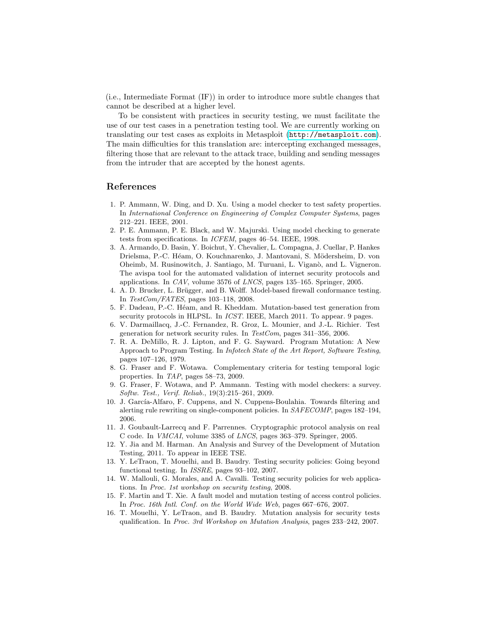(i.e., Intermediate Format (IF)) in order to introduce more subtle changes that cannot be described at a higher level.

To be consistent with practices in security testing, we must facilitate the use of our test cases in a penetration testing tool. We are currently working on translating our test cases as exploits in Metasploit (<http://metasploit.com>). The main difficulties for this translation are: intercepting exchanged messages, filtering those that are relevant to the attack trace, building and sending messages from the intruder that are accepted by the honest agents.

## References

- <span id="page-6-8"></span>1. P. Ammann, W. Ding, and D. Xu. Using a model checker to test safety properties. In International Conference on Engineering of Complex Computer Systems, pages 212–221. IEEE, 2001.
- <span id="page-6-9"></span>2. P. E. Ammann, P. E. Black, and W. Majurski. Using model checking to generate tests from specifications. In ICFEM, pages 46–54. IEEE, 1998.
- <span id="page-6-1"></span>3. A. Armando, D. Basin, Y. Boichut, Y. Chevalier, L. Compagna, J. Cuellar, P. Hankes Drielsma, P.-C. Héam, O. Kouchnarenko, J. Mantovani, S. Mödersheim, D. von Oheimb, M. Rusinowitch, J. Santiago, M. Turuani, L. Viganò, and L. Vigneron. The avispa tool for the automated validation of internet security protocols and applications. In CAV, volume 3576 of LNCS, pages 135–165. Springer, 2005.
- <span id="page-6-14"></span>4. A. D. Brucker, L. Brügger, and B. Wolff. Model-based firewall conformance testing. In TestCom/FATES, pages 103–118, 2008.
- <span id="page-6-0"></span>5. F. Dadeau, P.-C. H´eam, and R. Kheddam. Mutation-based test generation from security protocols in HLPSL. In *ICST*. IEEE, March 2011. To appear. 9 pages.
- <span id="page-6-12"></span>6. V. Darmaillacq, J.-C. Fernandez, R. Groz, L. Mounier, and J.-L. Richier. Test generation for network security rules. In TestCom, pages 341–356, 2006.
- <span id="page-6-3"></span>7. R. A. DeMillo, R. J. Lipton, and F. G. Sayward. Program Mutation: A New Approach to Program Testing. In Infotech State of the Art Report, Software Testing, pages 107–126, 1979.
- <span id="page-6-11"></span>8. G. Fraser and F. Wotawa. Complementary criteria for testing temporal logic properties. In TAP, pages 58–73, 2009.
- <span id="page-6-10"></span>9. G. Fraser, F. Wotawa, and P. Ammann. Testing with model checkers: a survey. Softw. Test., Verif. Reliab., 19(3):215–261, 2009.
- <span id="page-6-13"></span>10. J. García-Alfaro, F. Cuppens, and N. Cuppens-Boulahia. Towards filtering and alerting rule rewriting on single-component policies. In SAFECOMP, pages 182–194, 2006.
- <span id="page-6-2"></span>11. J. Goubault-Larrecq and F. Parrennes. Cryptographic protocol analysis on real C code. In VMCAI, volume 3385 of LNCS, pages 363–379. Springer, 2005.
- <span id="page-6-4"></span>12. Y. Jia and M. Harman. An Analysis and Survey of the Development of Mutation Testing, 2011. To appear in IEEE TSE.
- <span id="page-6-5"></span>13. Y. LeTraon, T. Mouelhi, and B. Baudry. Testing security policies: Going beyond functional testing. In ISSRE, pages 93–102, 2007.
- <span id="page-6-15"></span>14. W. Mallouli, G. Morales, and A. Cavalli. Testing security policies for web applications. In Proc. 1st workshop on security testing, 2008.
- <span id="page-6-6"></span>15. F. Martin and T. Xie. A fault model and mutation testing of access control policies. In Proc. 16th Intl. Conf. on the World Wide Web, pages 667–676, 2007.
- <span id="page-6-7"></span>16. T. Mouelhi, Y. LeTraon, and B. Baudry. Mutation analysis for security tests qualification. In Proc. 3rd Workshop on Mutation Analysis, pages 233–242, 2007.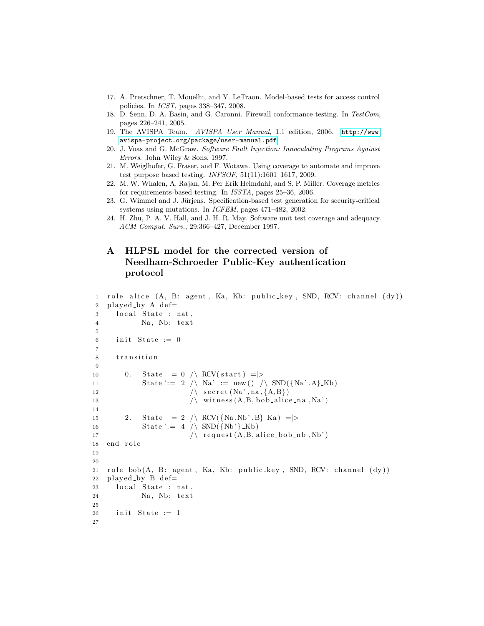- <span id="page-7-5"></span>17. A. Pretschner, T. Mouelhi, and Y. LeTraon. Model-based tests for access control policies. In ICST, pages 338–347, 2008.
- <span id="page-7-9"></span>18. D. Senn, D. A. Basin, and G. Caronni. Firewall conformance testing. In TestCom, pages 226–241, 2005.
- <span id="page-7-1"></span>19. The AVISPA Team. AVISPA User Manual, 1.1 edition, 2006. [http://www.](http://www.avispa-project.org/package/user-manual.pdf) [avispa-project.org/package/user-manual.pdf](http://www.avispa-project.org/package/user-manual.pdf).
- <span id="page-7-4"></span>20. J. Voas and G. McGraw. Software Fault Injection: Innoculating Programs Against Errors. John Wiley & Sons, 1997.
- <span id="page-7-7"></span>21. M. Weiglhofer, G. Fraser, and F. Wotawa. Using coverage to automate and improve test purpose based testing. INFSOF, 51(11):1601–1617, 2009.
- <span id="page-7-8"></span>22. M. W. Whalen, A. Rajan, M. Per Erik Heimdahl, and S. P. Miller. Coverage metrics for requirements-based testing. In ISSTA, pages 25–36, 2006.
- <span id="page-7-0"></span>23. G. Wimmel and J. Jürjens. Specification-based test generation for security-critical systems using mutations. In ICFEM, pages 471–482, 2002.
- <span id="page-7-6"></span>24. H. Zhu, P. A. V. Hall, and J. H. R. May. Software unit test coverage and adequacy. ACM Comput. Surv., 29:366–427, December 1997.

# <span id="page-7-2"></span>A HLPSL model for the corrected version of Needham-Schroeder Public-Key authentication protocol

```
1 role alice (A, B: agent, Ka, Kb: public_key, SND, RCV: channel (dy))
2 played by A def=
3 local State : nat,
4 Na, Nb: text
5
6 init State := 07
8 transition
9
10 0. State = 0 \wedge RCV(start) = |>
11 State ':= 2 /\ Na' := new () /\ SND(\{Na'.A\}Kb)
12 \sqrt{\sec^2(\text{Na}^{\prime}, \text{na}, \{A, B\})}13 \sqrt{\text{witness}(A, B, \text{bob}\_ \text{alice}\_ \text{na}}, \text{Na}^{\prime})14
15 2. State = 2 \land RCV({Na.Nb'.B}_Ka) = |>
16 State ':= 4 / \ NND({Nb'}) Kb)
17 \wedge request (A, B, alice_{\text{bob}} \, h, Nb')
18 end role
19
20
21 role bob (A, B: agent, Ka, Kb: public_key, SND, RCV: channel (dy))
22 played_by B def=
23 local State : nat,
24 Na, Nb: text
25
26 init State := 127
```